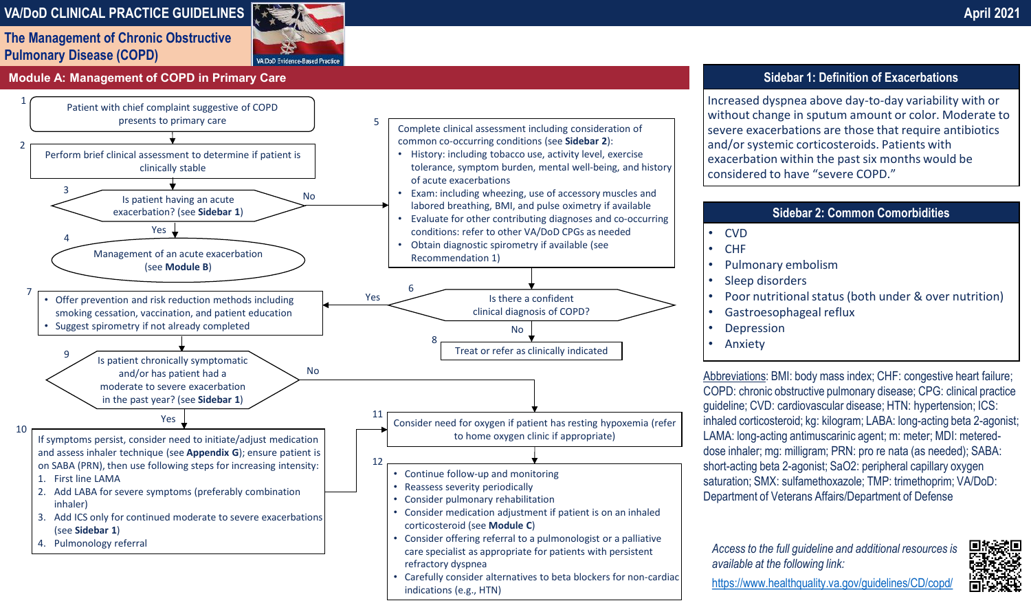# **VA/DoD CLINICAL PRACTICE GUIDELINES April 2021**

**The Management of Chronic Obstructive Pulmonary Disease (COPD)**



### **Module A: Management of COPD in Primary Care Sidebar 1: Definition of Exacerbations**



Increased dyspnea above day- to- day variability with or without change in sputum amount or color. Moderate to severe exacerbations are those that require antibiotics and/or systemic corticosteroids. Patients with exacerbation within the past six months would be considered to have "severe COPD."

## **Sidebar 2: Common Comorbidities**

• CVD

- CHF
- Pulmonary embolism
- Sleep disorders
- Poor nutritional status (both under & over nutrition)
- Gastroesophageal reflux
- **Depression**
- **Anxiety**

Abbreviations: BMI: body mass index; CHF: congestive heart failure; COPD: chronic obstructive pulmonary disease; CPG: clinical practice guideline; CVD: cardiovascular disease; HTN: hypertension; ICS: inhaled corticosteroid; kg: kilogram; LABA: long-acting beta 2-agonist; LAMA: long-acting antimuscarinic agent; m: meter; MDI: metereddose inhaler; mg: milligram; PRN: pro re nata (as needed); SABA: short-acting beta 2-agonist; SaO2: peripheral capillary oxygen saturation; SMX: sulfamethoxazole; TMP: trimethoprim; VA/DoD: Department of Veterans Affairs/Department of Defense

*Access to the full guideline and additional resources is available at the following link:* 



<https://www.healthquality.va.gov/guidelines/CD/copd/>